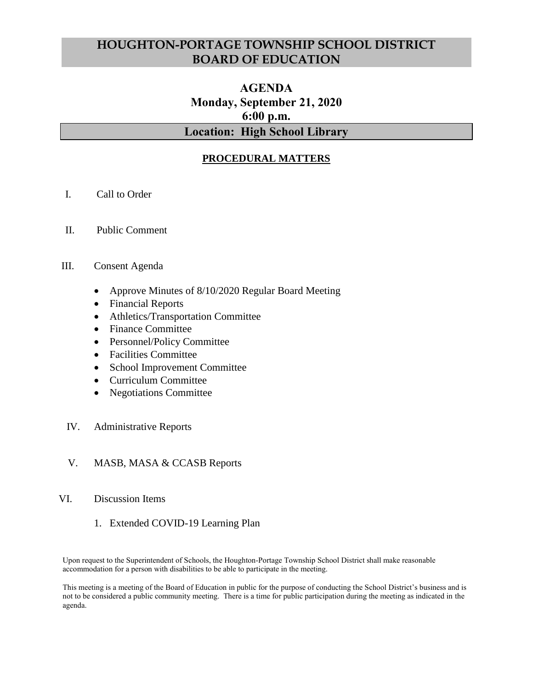# **HOUGHTON-PORTAGE TOWNSHIP SCHOOL DISTRICT BOARD OF EDUCATION**

# **AGENDA Monday, September 21, 2020 6:00 p.m. Location: High School Library**

### **PROCEDURAL MATTERS**

- I. Call to Order
- II. Public Comment
- III. Consent Agenda
	- Approve Minutes of 8/10/2020 Regular Board Meeting
	- Financial Reports
	- Athletics/Transportation Committee
	- Finance Committee
	- Personnel/Policy Committee
	- Facilities Committee
	- School Improvement Committee
	- Curriculum Committee
	- Negotiations Committee
- IV. Administrative Reports
- V. MASB, MASA & CCASB Reports

#### VI. Discussion Items

1. Extended COVID-19 Learning Plan

Upon request to the Superintendent of Schools, the Houghton-Portage Township School District shall make reasonable accommodation for a person with disabilities to be able to participate in the meeting.

This meeting is a meeting of the Board of Education in public for the purpose of conducting the School District's business and is not to be considered a public community meeting. There is a time for public participation during the meeting as indicated in the agenda.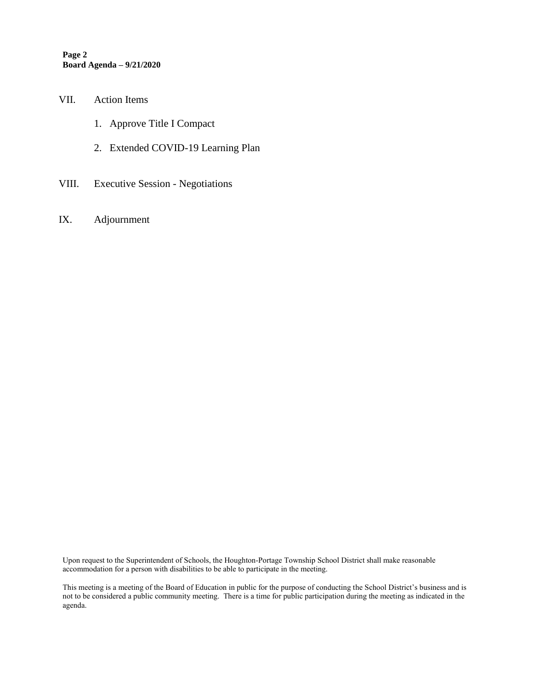**Page 2 Board Agenda – 9/21/2020**

#### VII. Action Items

- 1. Approve Title I Compact
- 2. Extended COVID-19 Learning Plan
- VIII. Executive Session Negotiations
- IX. Adjournment

Upon request to the Superintendent of Schools, the Houghton-Portage Township School District shall make reasonable accommodation for a person with disabilities to be able to participate in the meeting.

This meeting is a meeting of the Board of Education in public for the purpose of conducting the School District's business and is not to be considered a public community meeting. There is a time for public participation during the meeting as indicated in the agenda.